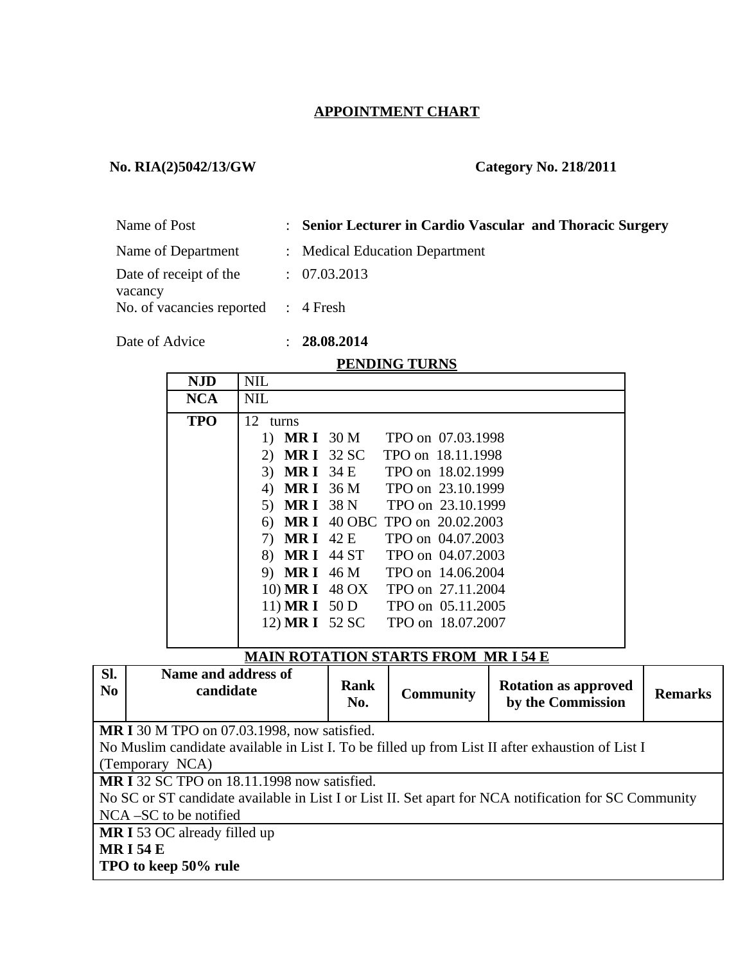## **APPOINTMENT CHART**

### **No. RIA(2)5042/13/GW Category No. 218/2011**

| Name of Post                        | : Senior Lecturer in Cardio Vascular and Thoracic Surgery |
|-------------------------------------|-----------------------------------------------------------|
| Name of Department                  | : Medical Education Department                            |
| Date of receipt of the<br>vacancy   | : 07.03.2013                                              |
| No. of vacancies reported : 4 Fresh |                                                           |

Date of Advice : **28.08.2014**

#### **PENDING TURNS**

| <b>NJD</b> | <b>NIL</b>                               |  |
|------------|------------------------------------------|--|
| <b>NCA</b> | <b>NIL</b>                               |  |
| <b>TPO</b> | 12 turns                                 |  |
|            | 1) MR I 30 M TPO on 07.03.1998           |  |
|            | <b>MRI</b> 32 SC TPO on 18.11.1998<br>2) |  |
|            | 3) MRI 34 E TPO on 18.02.1999            |  |
|            | 4) MR I 36 M TPO on 23.10.1999           |  |
|            | 5) MR I 38 N TPO on 23.10.1999           |  |
|            | 6) MR I 40 OBC TPO on 20.02.2003         |  |
|            | 7) MR I 42 E TPO on 04.07.2003           |  |
|            | 8) MR I 44 ST TPO on 04.07.2003          |  |
|            | 9) MR I 46 M TPO on 14.06.2004           |  |
|            | 10) MR I 48 OX<br>TPO on 27.11.2004      |  |
|            | 11) MR I 50 D TPO on 05.11.2005          |  |
|            | 12) MR I 52 SC TPO on 18.07.2007         |  |
|            |                                          |  |

## **MAIN ROTATION STARTS FROM MR I 54 E**

| SI.<br>$\bf No$ | Name and address of<br>candidate                                                                 | Rank<br>No. | <b>Community</b> | <b>Rotation as approved</b><br>by the Commission | <b>Remarks</b> |
|-----------------|--------------------------------------------------------------------------------------------------|-------------|------------------|--------------------------------------------------|----------------|
|                 | <b>MR I</b> 30 M TPO on 07.03.1998, now satisfied.                                               |             |                  |                                                  |                |
|                 | No Muslim candidate available in List I. To be filled up from List II after exhaustion of List I |             |                  |                                                  |                |

(Temporary NCA)

**MR I** 32 SC TPO on 18.11.1998 now satisfied.

No SC or ST candidate available in List I or List II. Set apart for NCA notification for SC Community NCA –SC to be notified

**MR I** 53 OC already filled up

**MR I 54 E** 

**TPO to keep 50% rule**